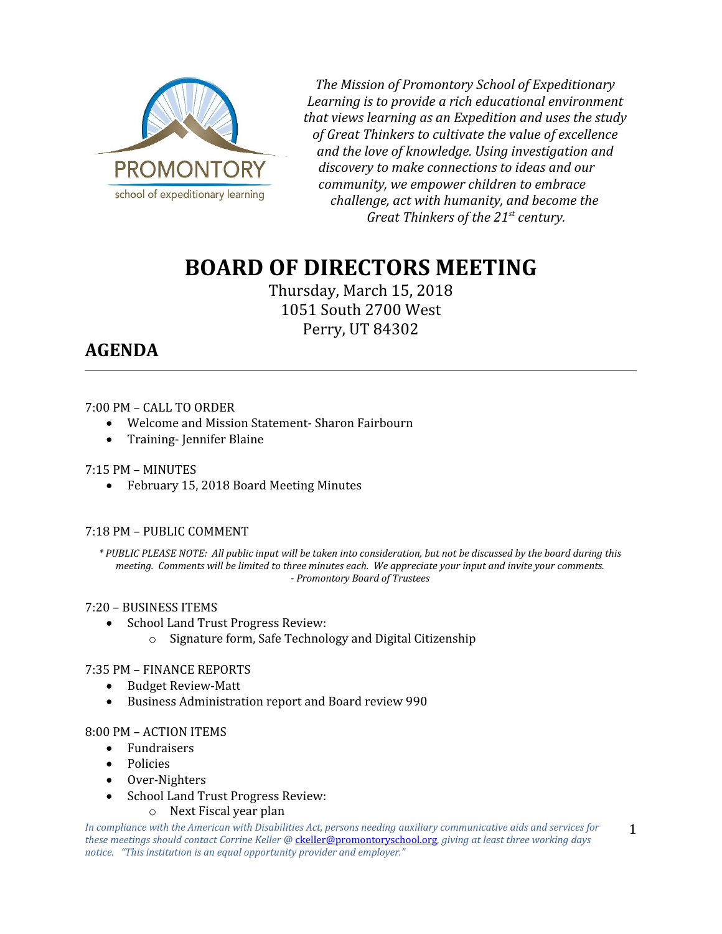

*The Mission of Promontory School of Expeditionary Learning is to provide a rich educational environment that views learning as an Expedition and uses the study of Great Thinkers to cultivate the value of excellence and the love of knowledge. Using investigation and discovery to make connections to ideas and our community, we empower children to embrace challenge, act with humanity, and become the Great Thinkers of the 21st century.*

# **BOARD OF DIRECTORS MEETING**

Thursday, March 15, 2018 1051 South 2700 West Perry, UT 84302

# **AGENDA**

#### 7:00 PM – CALL TO ORDER

- Welcome and Mission Statement- Sharon Fairbourn
- Training- Jennifer Blaine

## 7:15 PM – MINUTES

February 15, 2018 Board Meeting Minutes

#### 7:18 PM – PUBLIC COMMENT

*\* PUBLIC PLEASE NOTE: All public input will be taken into consideration, but not be discussed by the board during this meeting. Comments will be limited to three minutes each. We appreciate your input and invite your comments. - Promontory Board of Trustees*

#### 7:20 – BUSINESS ITEMS

- School Land Trust Progress Review:
	- o Signature form, Safe Technology and Digital Citizenship

#### 7:35 PM – FINANCE REPORTS

- Budget Review-Matt
- Business Administration report and Board review 990

#### 8:00 PM – ACTION ITEMS

- Fundraisers
- Policies
- Over-Nighters
- School Land Trust Progress Review:

o Next Fiscal year plan

*In compliance with the American with Disabilities Act, persons needing auxiliary communicative aids and services for these meetings should contact Corrine Keller @* [ckeller@promontoryschool.org](mailto:ckeller@promontoryschool.org)*, giving at least three working days notice. "This institution is an equal opportunity provider and employer."*

1